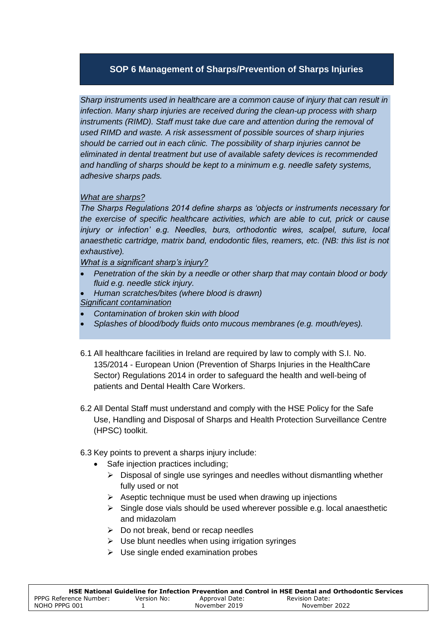# **SOP 6 Management of Sharps/Prevention of Sharps Injuries**

*Sharp instruments used in healthcare are a common cause of injury that can result in infection. Many sharp injuries are received during the clean-up process with sharp*  instruments (RIMD). Staff must take due care and attention during the removal of *used RIMD and waste. A risk assessment of possible sources of sharp injuries should be carried out in each clinic. The possibility of sharp injuries cannot be eliminated in dental treatment but use of available safety devices is recommended and handling of sharps should be kept to a minimum e.g. needle safety systems, adhesive sharps pads.*

## *What are sharps?*

*The Sharps Regulations 2014 define sharps as 'objects or instruments necessary for the exercise of specific healthcare activities, which are able to cut, prick or cause injury or infection' e.g. Needles, burs, orthodontic wires, scalpel, suture, local anaesthetic cartridge, matrix band, endodontic files, reamers, etc. (NB: this list is not exhaustive).* 

*What is a significant sharp's injury?*

- *Penetration of the skin by a needle or other sharp that may contain blood or body fluid e.g. needle stick injury.*
- *Human scratches/bites (where blood is drawn) Significant contamination*
- *Contamination of broken skin with blood*
- *Splashes of blood/body fluids onto mucous membranes (e.g. mouth/eyes).*
- 6.1 All healthcare facilities in Ireland are required by law to comply with S.I. No. 135/2014 - European Union (Prevention of Sharps Injuries in the HealthCare Sector) Regulations 2014 in order to safeguard the health and well-being of patients and Dental Health Care Workers.
- 6.2 All Dental Staff must understand and comply with the HSE Policy for the Safe Use, Handling and Disposal of Sharps and Health Protection Surveillance Centre (HPSC) toolkit.
- 6.3 Key points to prevent a sharps injury include:
	- Safe injection practices including;
		- $\triangleright$  Disposal of single use syringes and needles without dismantling whether fully used or not
		- $\triangleright$  Aseptic technique must be used when drawing up injections
		- $\triangleright$  Single dose vials should be used wherever possible e.g. local anaesthetic and midazolam
		- $\triangleright$  Do not break, bend or recap needles
		- $\triangleright$  Use blunt needles when using irrigation syringes
		- $\triangleright$  Use single ended examination probes

|                        |             |                | HSE National Guideline for Infection Prevention and Control in HSE Dental and Orthodontic Services |
|------------------------|-------------|----------------|----------------------------------------------------------------------------------------------------|
| PPPG Reference Number: | Version No: | Approval Date: | Revision Date:                                                                                     |
| NOHO PPPG 001          |             | November 2019  | November 2022                                                                                      |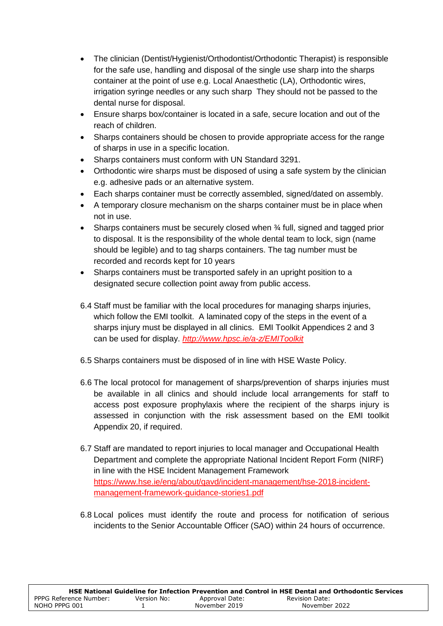- The clinician (Dentist/Hygienist/Orthodontist/Orthodontic Therapist) is responsible for the safe use, handling and disposal of the single use sharp into the sharps container at the point of use e.g. Local Anaesthetic (LA), Orthodontic wires, irrigation syringe needles or any such sharp They should not be passed to the dental nurse for disposal.
- Ensure sharps box/container is located in a safe, secure location and out of the reach of children.
- Sharps containers should be chosen to provide appropriate access for the range of sharps in use in a specific location.
- Sharps containers must conform with UN Standard 3291.
- Orthodontic wire sharps must be disposed of using a safe system by the clinician e.g. adhesive pads or an alternative system.
- Each sharps container must be correctly assembled, signed/dated on assembly.
- A temporary closure mechanism on the sharps container must be in place when not in use.
- Sharps containers must be securely closed when ¼ full, signed and tagged prior to disposal. It is the responsibility of the whole dental team to lock, sign (name should be legible) and to tag sharps containers. The tag number must be recorded and records kept for 10 years
- Sharps containers must be transported safely in an upright position to a designated secure collection point away from public access.
- 6.4 Staff must be familiar with the local procedures for managing sharps injuries, which follow the EMI toolkit. A laminated copy of the steps in the event of a sharps injury must be displayed in all clinics. EMI Toolkit Appendices 2 and 3 can be used for display. *<http://www.hpsc.ie/a-z/EMIToolkit>*
- 6.5 Sharps containers must be disposed of in line with HSE Waste Policy.
- 6.6 The local protocol for management of sharps/prevention of sharps injuries must be available in all clinics and should include local arrangements for staff to access post exposure prophylaxis where the recipient of the sharps injury is assessed in conjunction with the risk assessment based on the EMI toolkit Appendix 20, if required.
- 6.7 Staff are mandated to report injuries to local manager and Occupational Health Department and complete the appropriate National Incident Report Form (NIRF) in line with the HSE Incident Management Framework [https://www.hse.ie/eng/about/qavd/incident-management/hse-2018-incident](https://www.hse.ie/eng/about/qavd/incident-management/hse-2018-incident-management-framework-guidance-stories1.pdf)[management-framework-guidance-stories1.pdf](https://www.hse.ie/eng/about/qavd/incident-management/hse-2018-incident-management-framework-guidance-stories1.pdf)
- 6.8 Local polices must identify the route and process for notification of serious incidents to the Senior Accountable Officer (SAO) within 24 hours of occurrence.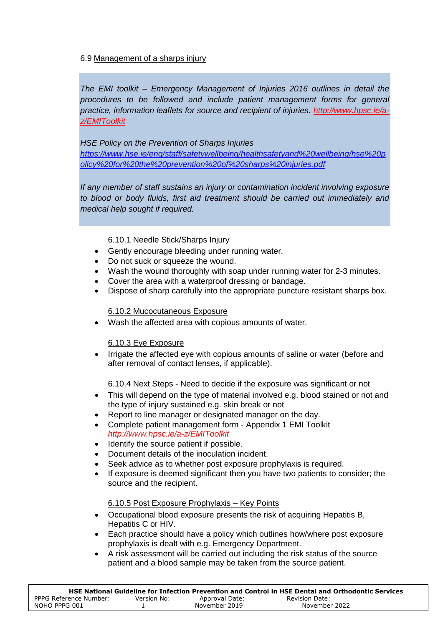### 6.9 Management of a sharps injury

*The EMI toolkit – Emergency Management of Injuries 2016 outlines in detail the procedures to be followed and include patient management forms for general practice, information leaflets for source and recipient of injuries. [http://www.hpsc.ie/a](http://www.hpsc.ie/a-z/EMIToolkit)[z/EMIToolkit](http://www.hpsc.ie/a-z/EMIToolkit)*

*HSE Policy on the Prevention of Sharps Injuries [https://www.hse.ie/eng/staff/safetywellbeing/healthsafetyand%20wellbeing/hse%20p](https://www.hse.ie/eng/staff/safetywellbeing/healthsafetyand%20wellbeing/hse%20policy%20for%20the%20prevention%20of%20sharps%20injuries.pdf) [olicy%20for%20the%20prevention%20of%20sharps%20injuries.pdf](https://www.hse.ie/eng/staff/safetywellbeing/healthsafetyand%20wellbeing/hse%20policy%20for%20the%20prevention%20of%20sharps%20injuries.pdf)*

*If any member of staff sustains an injury or contamination incident involving exposure to blood or body fluids, first aid treatment should be carried out immediately and medical help sought if required.*

#### 6.10.1 Needle Stick/Sharps Injury

- Gently encourage bleeding under running water.
- Do not suck or squeeze the wound.
- Wash the wound thoroughly with soap under running water for 2-3 minutes.
- Cover the area with a waterproof dressing or bandage.
- Dispose of sharp carefully into the appropriate puncture resistant sharps box.

#### 6.10.2 Mucocutaneous Exposure

Wash the affected area with copious amounts of water.

### 6.10.3 Eye Exposure

 Irrigate the affected eye with copious amounts of saline or water (before and after removal of contact lenses, if applicable).

#### 6.10.4 Next Steps - Need to decide if the exposure was significant or not

- This will depend on the type of material involved e.g. blood stained or not and the type of injury sustained e.g. skin break or not
- Report to line manager or designated manager on the day.
- Complete patient management form Appendix 1 EMI Toolkit *<http://www.hpsc.ie/a-z/EMIToolkit>*
- Identify the source patient if possible.
- Document details of the inoculation incident.
- Seek advice as to whether post exposure prophylaxis is required.
- If exposure is deemed significant then you have two patients to consider; the source and the recipient.

#### 6.10.5 Post Exposure Prophylaxis – Key Points

- Occupational blood exposure presents the risk of acquiring Hepatitis B, Hepatitis C or HIV.
- Each practice should have a policy which outlines how/where post exposure prophylaxis is dealt with e.g. Emergency Department.
- A risk assessment will be carried out including the risk status of the source patient and a blood sample may be taken from the source patient.

|                        |             |                | HSE National Guideline for Infection Prevention and Control in HSE Dental and Orthodontic Services |
|------------------------|-------------|----------------|----------------------------------------------------------------------------------------------------|
| PPPG Reference Number: | Version No: | Approval Date: | Revision Date:                                                                                     |
| NOHO PPPG 001          |             | November 2019  | November 2022                                                                                      |